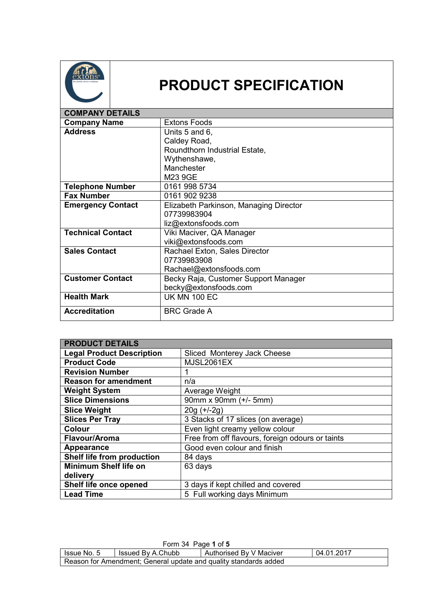

## **PRODUCT SPECIFICATION**

| <b>COMPANY DETAILS</b>   |                                        |
|--------------------------|----------------------------------------|
| <b>Company Name</b>      | <b>Extons Foods</b>                    |
| <b>Address</b>           | Units 5 and 6,                         |
|                          | Caldey Road,                           |
|                          | Roundthorn Industrial Estate,          |
|                          | Wythenshawe,                           |
|                          | Manchester                             |
|                          | M23 9GE                                |
| <b>Telephone Number</b>  | 0161 998 5734                          |
| <b>Fax Number</b>        | 0161 902 9238                          |
| <b>Emergency Contact</b> | Elizabeth Parkinson, Managing Director |
|                          | 07739983904                            |
|                          | liz@extonsfoods.com                    |
| <b>Technical Contact</b> | Viki Maciver, QA Manager               |
|                          | viki@extonsfoods.com                   |
| <b>Sales Contact</b>     | Rachael Exton, Sales Director          |
|                          | 07739983908                            |
|                          | Rachael@extonsfoods.com                |
| <b>Customer Contact</b>  | Becky Raja, Customer Support Manager   |
|                          | becky@extonsfoods.com                  |
| <b>Health Mark</b>       | <b>UK MN 100 EC</b>                    |
| <b>Accreditation</b>     | <b>BRC Grade A</b>                     |

| <b>PRODUCT DETAILS</b>           |                                                  |
|----------------------------------|--------------------------------------------------|
| <b>Legal Product Description</b> | Sliced Monterey Jack Cheese                      |
| <b>Product Code</b>              | <b>MJSL2061EX</b>                                |
| <b>Revision Number</b>           |                                                  |
| <b>Reason for amendment</b>      | n/a                                              |
| <b>Weight System</b>             | Average Weight                                   |
| <b>Slice Dimensions</b>          | 90mm x 90mm (+/- 5mm)                            |
| <b>Slice Weight</b>              | $20g (+/-2g)$                                    |
| <b>Slices Per Tray</b>           | 3 Stacks of 17 slices (on average)               |
| <b>Colour</b>                    | Even light creamy yellow colour                  |
| Flavour/Aroma                    | Free from off flavours, foreign odours or taints |
| Appearance                       | Good even colour and finish                      |
| Shelf life from production       | 84 days                                          |
| <b>Minimum Shelf life on</b>     | 63 days                                          |
| delivery                         |                                                  |
| Shelf life once opened           | 3 days if kept chilled and covered               |
| <b>Lead Time</b>                 | 5 Full working days Minimum                      |

| Form 34 Page 1 of 5                                                         |  |  |  |  |
|-----------------------------------------------------------------------------|--|--|--|--|
| 04.01.2017<br>Authorised By V Maciver<br>Issued By A.Chubb<br>I Issue No. 5 |  |  |  |  |
| Reason for Amendment; General update and quality standards added            |  |  |  |  |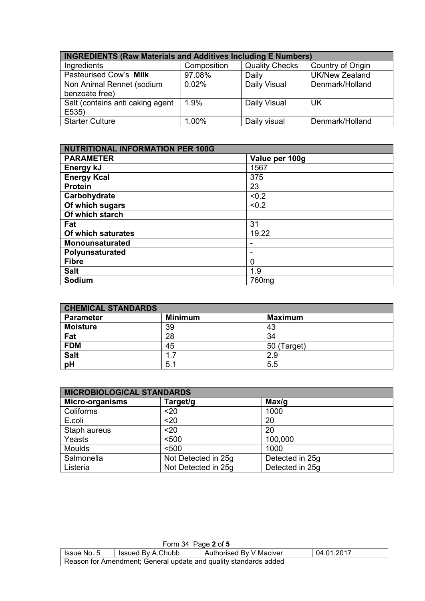| <b>INGREDIENTS (Raw Materials and Additives Including E Numbers)</b> |             |                       |                       |
|----------------------------------------------------------------------|-------------|-----------------------|-----------------------|
| Ingredients                                                          | Composition | <b>Quality Checks</b> | Country of Origin     |
| Pasteurised Cow's Milk                                               | 97.08%      | Daily                 | <b>UK/New Zealand</b> |
| Non Animal Rennet (sodium<br>benzoate free)                          | 0.02%       | Daily Visual          | Denmark/Holland       |
| Salt (contains anti caking agent<br>E535)                            | 1.9%        | Daily Visual          | <b>UK</b>             |
| <b>Starter Culture</b>                                               | 1.00%       | Daily visual          | Denmark/Holland       |

| <b>NUTRITIONAL INFORMATION PER 100G</b> |                |  |
|-----------------------------------------|----------------|--|
| <b>PARAMETER</b>                        | Value per 100g |  |
| Energy kJ                               | 1567           |  |
| <b>Energy Kcal</b>                      | 375            |  |
| <b>Protein</b>                          | 23             |  |
| Carbohydrate                            | < 0.2          |  |
| Of which sugars                         | < 0.2          |  |
| Of which starch                         |                |  |
| Fat                                     | 31             |  |
| Of which saturates                      | 19.22          |  |
| <b>Monounsaturated</b>                  |                |  |
| Polyunsaturated                         |                |  |
| <b>Fibre</b>                            | 0              |  |
| <b>Salt</b>                             | 1.9            |  |
| Sodium                                  | 760mg          |  |

| <b>CHEMICAL STANDARDS</b> |                |                |  |
|---------------------------|----------------|----------------|--|
| <b>Parameter</b>          | <b>Minimum</b> | <b>Maximum</b> |  |
| <b>Moisture</b>           | 39             | 43             |  |
| Fat                       | 28             | 34             |  |
| <b>FDM</b>                | 45             | 50 (Target)    |  |
| <b>Salt</b>               | 17             | 2.9            |  |
| pH                        | 5.1            | 5.5            |  |

| <b>MICROBIOLOGICAL STANDARDS</b> |                     |                 |  |
|----------------------------------|---------------------|-----------------|--|
| <b>Micro-organisms</b>           | Target/g            | Max/q           |  |
| Coliforms                        | $20$                | 1000            |  |
| E.coli                           | $20$                | 20              |  |
| Staph aureus                     | $20$                | 20              |  |
| Yeasts                           | < 500               | 100,000         |  |
| <b>Moulds</b>                    | < 500               | 1000            |  |
| Salmonella                       | Not Detected in 25g | Detected in 25g |  |
| Listeria                         | Not Detected in 25g | Detected in 25g |  |

| Form 34 Page 2 of 5                                                       |  |  |  |  |
|---------------------------------------------------------------------------|--|--|--|--|
| 04.01.2017<br>Authorised By V Maciver<br>Issued By A.Chubb<br>Issue No. 5 |  |  |  |  |
| Reason for Amendment; General update and quality standards added          |  |  |  |  |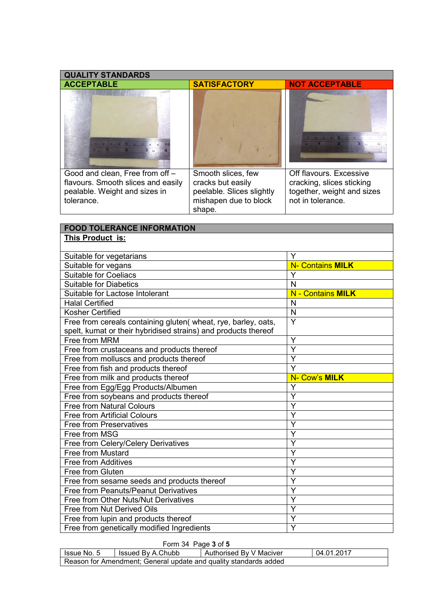| <b>QUALITY STANDARDS</b>                                                                                             |                                                                                                         |                                                                                                         |
|----------------------------------------------------------------------------------------------------------------------|---------------------------------------------------------------------------------------------------------|---------------------------------------------------------------------------------------------------------|
| <b>ACCEPTABLE</b>                                                                                                    | <b>SATISFACTORY</b>                                                                                     | <b>NOT ACCEPTABLE</b>                                                                                   |
|                                                                                                                      |                                                                                                         |                                                                                                         |
| Good and clean, Free from off -<br>flavours. Smooth slices and easily<br>pealable. Weight and sizes in<br>tolerance. | Smooth slices, few<br>cracks but easily<br>peelable. Slices slightly<br>mishapen due to block<br>shape. | Off flavours. Excessive<br>cracking, slices sticking<br>together, weight and sizes<br>not in tolerance. |

## **FOOD TOLERANCE INFORMATION This Product is:**

| Suitable for vegetarians                                       | Y                        |
|----------------------------------------------------------------|--------------------------|
| Suitable for vegans                                            | <b>N- Contains MILK</b>  |
| <b>Suitable for Coeliacs</b>                                   | Y                        |
| <b>Suitable for Diabetics</b>                                  | N                        |
| Suitable for Lactose Intolerant                                | <b>N - Contains MILK</b> |
| <b>Halal Certified</b>                                         | N                        |
| <b>Kosher Certified</b>                                        | $\mathsf{N}$             |
| Free from cereals containing gluten( wheat, rye, barley, oats, | $\overline{Y}$           |
| spelt, kumat or their hybridised strains) and products thereof |                          |
| Free from MRM                                                  | Y                        |
| Free from crustaceans and products thereof                     | Ý                        |
| Free from molluscs and products thereof                        | Y                        |
| Free from fish and products thereof                            | Y                        |
| Free from milk and products thereof                            | N- Cow's MILK            |
| Free from Egg/Egg Products/Albumen                             | Ý                        |
| Free from soybeans and products thereof                        | Y                        |
| <b>Free from Natural Colours</b>                               | Ý                        |
| <b>Free from Artificial Colours</b>                            | Y                        |
| <b>Free from Preservatives</b>                                 | Y                        |
| Free from MSG                                                  | Y                        |
| Free from Celery/Celery Derivatives                            | Ý                        |
| Free from Mustard                                              | Ý                        |
| <b>Free from Additives</b>                                     | Y                        |
| Free from Gluten                                               | Y                        |
| Free from sesame seeds and products thereof                    | Y                        |
| Free from Peanuts/Peanut Derivatives                           | Ý                        |
| Free from Other Nuts/Nut Derivatives                           | Y                        |
| Free from Nut Derived Oils                                     | Ý                        |
| Free from lupin and products thereof                           | Y                        |
| Free from genetically modified Ingredients                     | Ÿ                        |

## Form 34 Page **3** of **5**

| lssue No. 5 | Issued By A.Chubb                                                | Authorised By V Maciver | 04.01.2017 |
|-------------|------------------------------------------------------------------|-------------------------|------------|
|             | Reason for Amendment; General update and quality standards added |                         |            |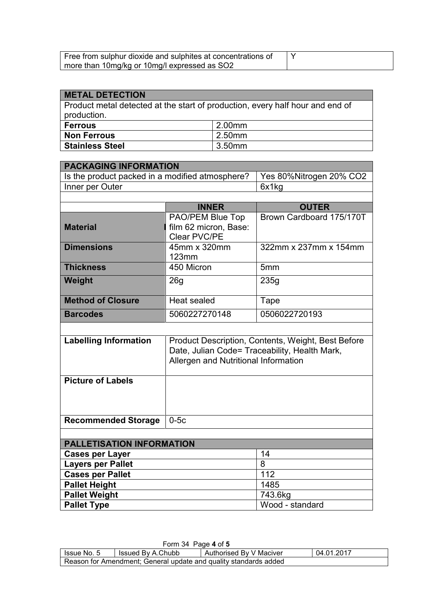| Free from sulphur dioxide and sulphites at concentrations of |  |
|--------------------------------------------------------------|--|
| more than 10mg/kg or 10mg/l expressed as SO2                 |  |

| <b>METAL DETECTION</b>                                                                       |        |  |  |
|----------------------------------------------------------------------------------------------|--------|--|--|
| Product metal detected at the start of production, every half hour and end of<br>production. |        |  |  |
| <b>Ferrous</b>                                                                               | 2.00mm |  |  |
| <b>Non Ferrous</b>                                                                           | 2.50mm |  |  |
| <b>Stainless Steel</b>                                                                       | 3.50mm |  |  |

| <b>PACKAGING INFORMATION</b>                    |                                                    |                          |  |  |  |  |
|-------------------------------------------------|----------------------------------------------------|--------------------------|--|--|--|--|
| Is the product packed in a modified atmosphere? | Yes 80%Nitrogen 20% CO2                            |                          |  |  |  |  |
| Inner per Outer                                 |                                                    | 6x1kg                    |  |  |  |  |
|                                                 |                                                    |                          |  |  |  |  |
|                                                 | <b>INNER</b>                                       | <b>OUTER</b>             |  |  |  |  |
|                                                 | PAO/PEM Blue Top                                   | Brown Cardboard 175/170T |  |  |  |  |
| <b>Material</b>                                 | film 62 micron, Base:                              |                          |  |  |  |  |
|                                                 | Clear PVC/PE                                       |                          |  |  |  |  |
| <b>Dimensions</b>                               | 45mm x 320mm                                       | 322mm x 237mm x 154mm    |  |  |  |  |
|                                                 | 123mm                                              |                          |  |  |  |  |
| <b>Thickness</b>                                | 450 Micron                                         | 5 <sub>mm</sub>          |  |  |  |  |
| Weight                                          | 26 <sub>g</sub>                                    | 235g                     |  |  |  |  |
|                                                 |                                                    |                          |  |  |  |  |
| <b>Method of Closure</b>                        | <b>Heat sealed</b>                                 | Tape                     |  |  |  |  |
| <b>Barcodes</b>                                 | 5060227270148                                      | 0506022720193            |  |  |  |  |
|                                                 |                                                    |                          |  |  |  |  |
| <b>Labelling Information</b>                    | Product Description, Contents, Weight, Best Before |                          |  |  |  |  |
|                                                 | Date, Julian Code= Traceability, Health Mark,      |                          |  |  |  |  |
|                                                 | Allergen and Nutritional Information               |                          |  |  |  |  |
|                                                 |                                                    |                          |  |  |  |  |
| <b>Picture of Labels</b>                        |                                                    |                          |  |  |  |  |
|                                                 |                                                    |                          |  |  |  |  |
|                                                 |                                                    |                          |  |  |  |  |
|                                                 |                                                    |                          |  |  |  |  |
|                                                 | $0-5c$<br><b>Recommended Storage</b>               |                          |  |  |  |  |
|                                                 |                                                    |                          |  |  |  |  |
| <b>PALLETISATION INFORMATION</b>                |                                                    |                          |  |  |  |  |
| <b>Cases per Layer</b>                          |                                                    | 14                       |  |  |  |  |
| <b>Layers per Pallet</b>                        |                                                    | 8                        |  |  |  |  |
| <b>Cases per Pallet</b>                         |                                                    | 112                      |  |  |  |  |
| <b>Pallet Height</b>                            |                                                    | 1485                     |  |  |  |  |
| <b>Pallet Weight</b>                            |                                                    | 743.6kg                  |  |  |  |  |
| <b>Pallet Type</b>                              |                                                    | Wood - standard          |  |  |  |  |

| Form 34 Page 4 of 5                                              |                   |                         |            |  |
|------------------------------------------------------------------|-------------------|-------------------------|------------|--|
| l Issue No. 5                                                    | Issued By A.Chubb | Authorised By V Maciver | 04.01.2017 |  |
| Reason for Amendment; General update and quality standards added |                   |                         |            |  |